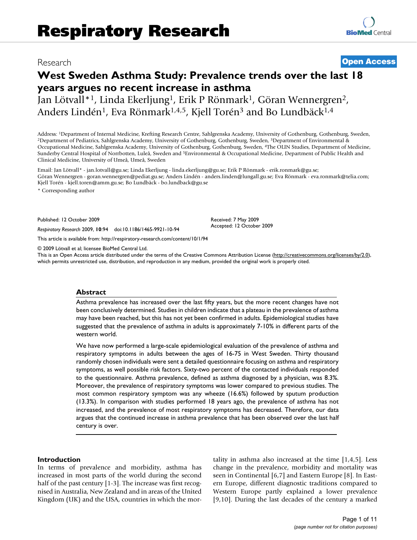# Research **[Open Access](http://www.biomedcentral.com/info/about/charter/)**

# **West Sweden Asthma Study: Prevalence trends over the last 18 years argues no recent increase in asthma**

Jan Lötvall<sup>\*1</sup>, Linda Ekerljung<sup>1</sup>, Erik P Rönmark<sup>1</sup>, Göran Wennergren<sup>2</sup>, Anders Lindén<sup>1</sup>, Eva Rönmark<sup>1,4,5</sup>, Kjell Torén<sup>3</sup> and Bo Lundbäck<sup>1,4</sup>

Address: <sup>1</sup>Department of Internal Medicine, Krefting Research Centre, Sahlgrenska Academy, University of Gothenburg, Gothenburg, Sweden, <sup>2</sup>Department of Pediatrics, Sahlgrenska Academy, University of Gothenburg, Gothenbu Occupational Medicine, Sahlgrenska Academy, University of Gothenburg, Gothenburg, Sweden, 4The OLIN Studies, Department of Medicine, Sunderby Central Hospital of Norrbotten, Luleå, Sweden and 5Environmental & Occupational Medicine, Department of Public Health and Clinical Medicine, University of Umeå, Umeå, Sweden

Email: Jan Lötvall\* - jan.lotvall@gu.se; Linda Ekerljung - linda.ekerljung@gu.se; Erik P Rönmark - erik.ronmark@gu.se; Göran Wennergren - goran.wennergren@pediat.gu.se; Anders Lindén - anders.linden@lungall.gu.se; Eva Rönmark - eva.ronmark@telia.com; Kjell Torén - kjell.toren@amm.gu.se; Bo Lundbäck - bo.lundback@gu.se

\* Corresponding author

Published: 12 October 2009

*Respiratory Research* 2009, **10**:94 doi:10.1186/1465-9921-10-94

[This article is available from: http://respiratory-research.com/content/10/1/94](http://respiratory-research.com/content/10/1/94)

© 2009 Lötvall et al; licensee BioMed Central Ltd.

This is an Open Access article distributed under the terms of the Creative Commons Attribution License [\(http://creativecommons.org/licenses/by/2.0\)](http://creativecommons.org/licenses/by/2.0), which permits unrestricted use, distribution, and reproduction in any medium, provided the original work is properly cited.

Received: 7 May 2009 Accepted: 12 October 2009

# **Abstract**

Asthma prevalence has increased over the last fifty years, but the more recent changes have not been conclusively determined. Studies in children indicate that a plateau in the prevalence of asthma may have been reached, but this has not yet been confirmed in adults. Epidemiological studies have suggested that the prevalence of asthma in adults is approximately 7-10% in different parts of the western world.

We have now performed a large-scale epidemiological evaluation of the prevalence of asthma and respiratory symptoms in adults between the ages of 16-75 in West Sweden. Thirty thousand randomly chosen individuals were sent a detailed questionnaire focusing on asthma and respiratory symptoms, as well possible risk factors. Sixty-two percent of the contacted individuals responded to the questionnaire. Asthma prevalence, defined as asthma diagnosed by a physician, was 8.3%. Moreover, the prevalence of respiratory symptoms was lower compared to previous studies. The most common respiratory symptom was any wheeze (16.6%) followed by sputum production (13.3%). In comparison with studies performed 18 years ago, the prevalence of asthma has not increased, and the prevalence of most respiratory symptoms has decreased. Therefore, our data argues that the continued increase in asthma prevalence that has been observed over the last half century is over.

# **Introduction**

In terms of prevalence and morbidity, asthma has increased in most parts of the world during the second half of the past century [1-3]. The increase was first recognised in Australia, New Zealand and in areas of the United Kingdom (UK) and the USA, countries in which the mortality in asthma also increased at the time [1,4,5]. Less change in the prevalence, morbidity and mortality was seen in Continental [6,7] and Eastern Europe [8]. In Eastern Europe, different diagnostic traditions compared to Western Europe partly explained a lower prevalence [9,10]. During the last decades of the century a marked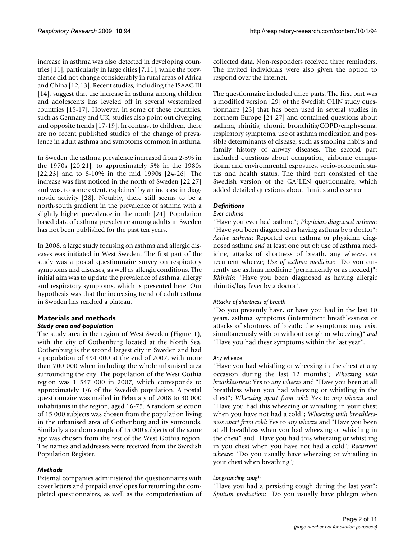increase in asthma was also detected in developing countries [11], particularly in large cities [7,11], while the prevalence did not change considerably in rural areas of Africa and China [12,13]. Recent studies, including the ISAAC III [14], suggest that the increase in asthma among children and adolescents has leveled off in several westernized countries [15-17]. However, in some of these countries, such as Germany and UK, studies also point out diverging and opposite trends [17-19]. In contrast to children, there are no recent published studies of the change of prevalence in adult asthma and symptoms common in asthma.

In Sweden the asthma prevalence increased from 2-3% in the 1970s [20,21], to approximately 5% in the 1980s [22,23] and to 8-10% in the mid 1990s [24-26]. The increase was first noticed in the north of Sweden [22,27] and was, to some extent, explained by an increase in diagnostic activity [28]. Notably, there still seems to be a north-south gradient in the prevalence of asthma with a slightly higher prevalence in the north [24]. Population based data of asthma prevalence among adults in Sweden has not been published for the past ten years.

In 2008, a large study focusing on asthma and allergic diseases was initiated in West Sweden. The first part of the study was a postal questionnaire survey on respiratory symptoms and diseases, as well as allergic conditions. The initial aim was to update the prevalence of asthma, allergy and respiratory symptoms, which is presented here. Our hypothesis was that the increasing trend of adult asthma in Sweden has reached a plateau.

# **Materials and methods** *Study area and population*

The study area is the region of West Sweden (Figure 1), with the city of Gothenburg located at the North Sea. Gothenburg is the second largest city in Sweden and had a population of 494 000 at the end of 2007, with more than 700 000 when including the whole urbanised area surrounding the city. The population of the West Gothia region was 1 547 000 in 2007, which corresponds to approximately 1/6 of the Swedish population. A postal questionnaire was mailed in February of 2008 to 30 000 inhabitants in the region, aged 16-75. A random selection of 15 000 subjects was chosen from the population living in the urbanised area of Gothenburg and its surrounds. Similarly a random sample of 15 000 subjects of the same age was chosen from the rest of the West Gothia region. The names and addresses were received from the Swedish Population Register.

# *Methods*

External companies administered the questionnaires with cover letters and prepaid envelopes for returning the completed questionnaires, as well as the computerisation of collected data. Non-responders received three reminders. The invited individuals were also given the option to respond over the internet.

The questionnaire included three parts. The first part was a modified version [29] of the Swedish OLIN study questionnaire [23] that has been used in several studies in northern Europe [24-27] and contained questions about asthma, rhinitis, chronic bronchitis/COPD/emphysema, respiratory symptoms, use of asthma medication and possible determinants of disease, such as smoking habits and family history of airway diseases. The second part included questions about occupation, airborne occupational and environmental exposures, socio-economic status and health status. The third part consisted of the Swedish version of the GA2LEN questionnaire, which added detailed questions about rhinitis and eczema.

# *Definitions*

## *Ever asthma*

"Have you ever had asthma"; *Physician-diagnosed asthma*: "Have you been diagnosed as having asthma by a doctor"; *Active asthma*: Reported ever asthma or physician diagnosed asthma *and* at least one out of: use of asthma medicine, attacks of shortness of breath, any wheeze, or recurrent wheeze; *Use of asthma medicine*: "Do you currently use asthma medicine (permanently or as needed)"; *Rhinitis*: "Have you been diagnosed as having allergic rhinitis/hay fever by a doctor".

# *Attacks of shortness of breath*

"Do you presently have, or have you had in the last 10 years, asthma symptoms (intermittent breathlessness or attacks of shortness of breath; the symptoms may exist simultaneously with or without cough or wheezing)" *and* "Have you had these symptoms within the last year".

# *Any wheeze*

"Have you had whistling or wheezing in the chest at any occasion during the last 12 months"; *Wheezing with breathlessness*: Yes to *any wheeze* and "Have you been at all breathless when you had wheezing or whistling in the chest"; *Wheezing apart from cold*: Yes to *any wheeze* and "Have you had this wheezing or whistling in your chest when you have not had a cold"; *Wheezing with breathlessness apart from cold*: Yes to *any wheeze* and "Have you been at all breathless when you had wheezing or whistling in the chest" and "Have you had this wheezing or whistling in you chest when you have not had a cold"; *Recurrent wheeze*: "Do you usually have wheezing or whistling in your chest when breathing";

# *Longstanding cough*

"Have you had a persisting cough during the last year"; *Sputum production*: "Do you usually have phlegm when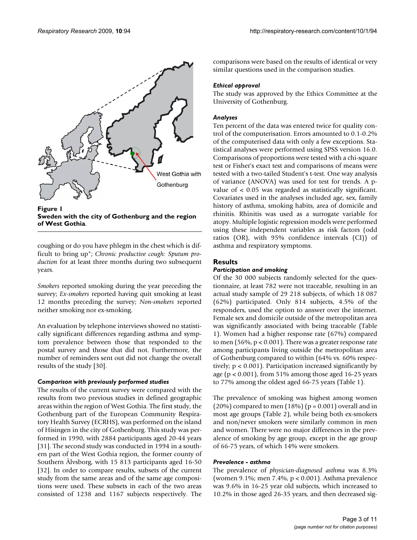

**Figure 1 Sweden with the city of Gothenburg and the region of West Gothia**.

coughing or do you have phlegm in the chest which is difficult to bring up"; *Chronic productive cough: Sputum production* for at least three months during two subsequent years.

*Smokers* reported smoking during the year preceding the survey; *Ex-smokers* reported having quit smoking at least 12 months preceding the survey; *Non-smokers* reported neither smoking nor ex-smoking.

An evaluation by telephone interviews showed no statistically significant differences regarding asthma and symptom prevalence between those that responded to the postal survey and those that did not. Furthermore, the number of reminders sent out did not change the overall results of the study [30].

# *Comparison with previously performed studies*

The results of the current survey were compared with the results from two previous studies in defined geographic areas within the region of West Gothia. The first study, the Gothenburg part of the European Community Respiratory Health Survey (ECRHS), was performed on the island of Hisingen in the city of Gothenburg. This study was performed in 1990, with 2884 participants aged 20-44 years [31]. The second study was conducted in 1994 in a southern part of the West Gothia region, the former county of Southern Älvsborg, with 15 813 participants aged 16-50 [32]. In order to compare results, subsets of the current study from the same areas and of the same age compositions were used. These subsets in each of the two areas consisted of 1238 and 1167 subjects respectively. The comparisons were based on the results of identical or very similar questions used in the comparison studies.

# *Ethical approval*

The study was approved by the Ethics Committee at the University of Gothenburg.

# *Analyses*

Ten percent of the data was entered twice for quality control of the computerisation. Errors amounted to 0.1-0.2% of the computerised data with only a few exceptions. Statistical analyses were performed using SPSS version 16.0. Comparisons of proportions were tested with a chi-square test or Fisher's exact test and comparisons of means were tested with a two-tailed Student's t-test. One way analysis of variance (ANOVA) was used for test for trends. A pvalue of < 0.05 was regarded as statistically significant. Covariates used in the analyses included age, sex, family history of asthma, smoking habits, area of domicile and rhinitis. Rhinitis was used as a surrogate variable for atopy. Multiple logistic regression models were performed using these independent variables as risk factors (odd ratios (OR), with 95% confidence intervals (CI)) of asthma and respiratory symptoms.

# **Results**

# *Participation and smoking*

Of the 30 000 subjects randomly selected for the questionnaire, at least 782 were not traceable, resulting in an actual study sample of 29 218 subjects, of which 18 087 (62%) participated. Only 814 subjects, 4.5% of the responders, used the option to answer over the internet. Female sex and domicile outside of the metropolitan area was significantly associated with being traceable (Table 1). Women had a higher response rate (67%) compared to men (56%, p < 0.001). There was a greater response rate among participants living outside the metropolitan area of Gothenburg compared to within (64% vs. 60% respectively; p < 0.001). Participation increased significantly by age ( $p < 0.001$ ), from 51% among those aged 16-25 years to 77% among the oldest aged 66-75 years (Table 1).

The prevalence of smoking was highest among women (20%) compared to men (18%) ( $p = 0.001$ ) overall and in most age groups (Table 2), while being both ex-smokers and non/never smokers were similarly common in men and women. There were no major differences in the prevalence of smoking by age group, except in the age group of 66-75 years, of which 14% were smokers.

# *Prevalence - asthma*

The prevalence of *physician-diagnosed asthma* was 8.3% (women 9.1%; men 7.4%, p < 0.001). Asthma prevalence was 9.6% in 16-25 year old subjects, which increased to 10.2% in those aged 26-35 years, and then decreased sig-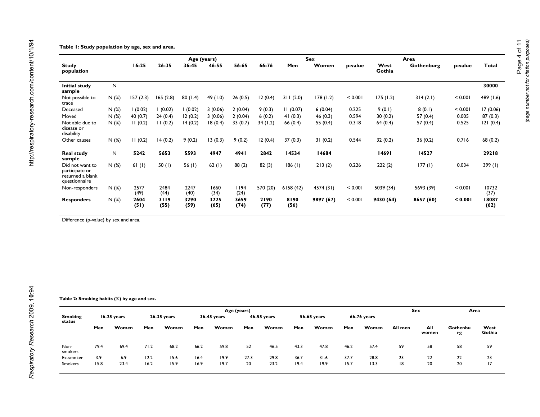|                                                                        |      | Age (years)  |              |              |              |              | Sex          |              |           |         | Area           |            |         |               |
|------------------------------------------------------------------------|------|--------------|--------------|--------------|--------------|--------------|--------------|--------------|-----------|---------|----------------|------------|---------|---------------|
| <b>Study</b><br>population                                             |      | $16 - 25$    | $26 - 35$    | 36-45        | 46-55        | 56-65        | 66-76        | Men          | Women     | p-value | West<br>Gothia | Gothenburg | p-value | Total         |
| <b>Initial study</b><br>sample                                         | N    |              |              |              |              |              |              |              |           |         |                |            |         | 30000         |
| Not possible to<br>trace                                               | N(%) | 157(2.3)     | 165(2.8)     | 80(1.4)      | 49 (1.0)     | 26 (0.5)     | 12(0.4)      | 311(2.0)     | 178(1.2)  | < 0.001 | 175(1.2)       | 314(2.1)   | < 0.001 | 489 (1.6)     |
| Deceased                                                               | N(%) | (0.02)       | (0.02)       | (0.02)       | 3(0.06)      | 2(0.04)      | 9(0.3)       | 11(0.07)     | 6(0.04)   | 0.225   | 9(0.1)         | 8(0.1)     | < 0.001 | 17 (0.06)     |
| Moved                                                                  | N(%) | 40(0.7)      | 24(0.4)      | 12(0.2)      | 3(0.06)      | 2(0.04)      | 6(0.2)       | 41 $(0.3)$   | 46(0.3)   | 0.594   | 30(0.2)        | 57(0.4)    | 0.005   | 87(0.3)       |
| Not able due to<br>disease or<br>disability                            | N(%) | 11(0.2)      | 11(0.2)      | 14(0.2)      | 18(0.4)      | 33(0.7)      | 34(1.2)      | 66(0.4)      | 55(0.4)   | 0.318   | 64(0.4)        | 57(0.4)    | 0.525   | 121(0.4)      |
| Other causes                                                           | N(%) | 11(0.2)      | 14(0.2)      | 9(0.2)       | 13(0.3)      | 9(0.2)       | 12(0.4)      | 37(0.3)      | 31(0.2)   | 0.544   | 32(0.2)        | 36(0.2)    | 0.716   | 68 (0.2)      |
| <b>Real study</b><br>sample                                            | N    | 5242         | 5653         | 5593         | 4947         | 4941         | 2842         | 14534        | 14684     |         | 14691          | 14527      |         | 29218         |
| Did not want to<br>participate or<br>returned a blank<br>questionnaire | N(%) | 61(1)        | 50 $(1)$     | 56 $(1)$     | 62(1)        | 88(2)        | 82(3)        | 186(1)       | 213(2)    | 0.226   | 222(2)         | 177(1)     | 0.034   | 399(1)        |
| Non-responders                                                         | N(%) | 2577<br>(49) | 2484<br>(44) | 2247<br>(40) | 1660<br>(34) | 1194<br>(24) | 570 (20)     | 6158(42)     | 4574 (31) | < 0.001 | 5039 (34)      | 5693 (39)  | < 0.001 | 10732<br>(37) |
| <b>Responders</b>                                                      | N(%) | 2604<br>(51) | 3119<br>(55) | 3290<br>(59) | 3225<br>(65) | 3659<br>(74) | 2190<br>(77) | 8190<br>(56) | 9897 (67) | < 0.001 | 9430 (64)      | 8657 (60)  | < 0.001 | 18087<br>(62) |

Difference (p-value) by sex and area.

**Table 2: Smoking habits (%) by age and sex.**

|                          |      | Age (years)   |      |               |      |               |      |             |      |             |      | Sex         |         | Area         |                |                |
|--------------------------|------|---------------|------|---------------|------|---------------|------|-------------|------|-------------|------|-------------|---------|--------------|----------------|----------------|
| <b>Smoking</b><br>status |      | $16-25$ years |      | $26-35$ years |      | $36-45$ years |      | 46-55 years |      | 56-65 years |      | 66-76 years |         |              |                |                |
|                          | Men  | Women         | Men  | Women         | Men  | Women         | Men  | Women       | Men  | Women       | Men  | Women       | All men | All<br>women | Gothenbu<br>rg | West<br>Gothia |
| Non-<br>smokers          | 79.4 | 69.4          | 71.2 | 68.2          | 66.2 | 59.8          | 52   | 46.5        | 43.3 | 47.8        | 46.2 | 57.4        | 59      | 58           | 58             | 59             |
| Ex-smoker                | 3.9  | 6.9           | 12.2 | 15.6          | 16.4 | 19.9          | 27.3 | 29.8        | 36.7 | 31.6        | 37.7 | 28.8        | 23      | 22           | 22             | 23             |
| Smokers                  | 15.8 | 23.4          | 16.2 | 15.9          | 16.9 | 19.7          | 20   | 23.2        | 19.4 | 19.9        | 15.7 | 13.3        | 18      | 20           | 20             | 17             |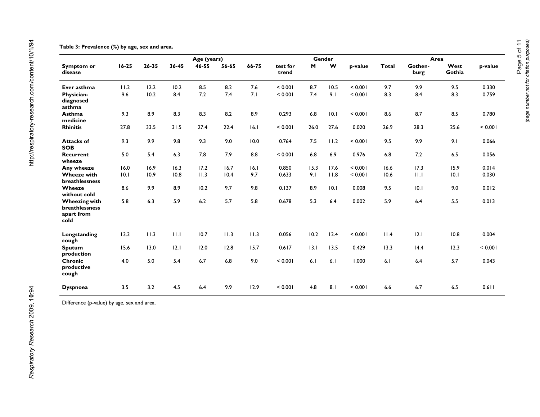|                                                              |           |           |           | Age (years) |       |       |                   |       | Gender                    |         |              | Area            |                |         |
|--------------------------------------------------------------|-----------|-----------|-----------|-------------|-------|-------|-------------------|-------|---------------------------|---------|--------------|-----------------|----------------|---------|
| Symptom or<br>disease                                        | $16 - 25$ | $26 - 35$ | $36 - 45$ | 46-55       | 56-65 | 66-75 | test for<br>trend | M     | $\boldsymbol{\mathsf{w}}$ | p-value | <b>Total</b> | Gothen-<br>burg | West<br>Gothia | p-value |
| Ever asthma                                                  | 11.2      | 12.2      | 10.2      | 8.5         | 8.2   | 7.6   | < 0.001           | 8.7   | 10.5                      | < 0.001 | 9.7          | 9.9             | 9.5            | 0.330   |
| Physician-<br>diagnosed<br>asthma                            | 9.6       | 10.2      | 8.4       | 7.2         | 7.4   | 7.1   | < 0.001           | 7.4   | 9.1                       | < 0.001 | 8.3          | 8.4             | 8.3            | 0.759   |
| Asthma<br>medicine                                           | 9.3       | 8.9       | 8.3       | 8.3         | 8.2   | 8.9   | 0.293             | 6.8   | 10.1                      | < 0.001 | 8.6          | 8.7             | 8.5            | 0.780   |
| <b>Rhinitis</b>                                              | 27.8      | 33.5      | 31.5      | 27.4        | 22.4  | 16.1  | < 0.001           | 26.0  | 27.6                      | 0.020   | 26.9         | 28.3            | 25.6           | < 0.001 |
| <b>Attacks of</b><br><b>SOB</b>                              | 9.3       | 9.9       | 9.8       | 9.3         | 9.0   | 10.0  | 0.764             | 7.5   | 11.2                      | < 0.001 | 9.5          | 9.9             | 9.1            | 0.066   |
| Recurrent<br>wheeze                                          | 5.0       | 5.4       | 6.3       | 7.8         | 7.9   | 8.8   | < 0.001           | $6.8$ | 6.9                       | 0.976   | $6.8$        | 7.2             | 6.5            | 0.056   |
| Any wheeze                                                   | 16.0      | 16.9      | 16.3      | 17.2        | 16.7  | 16.1  | 0.850             | 15.3  | 17.6                      | < 0.001 | 16.6         | 17.3            | 15.9           | 0.014   |
| <b>Wheeze with</b><br>breathlessness                         | 10.1      | 10.9      | 10.8      | 11.3        | 10.4  | 9.7   | 0.633             | 9.1   | 11.8                      | < 0.001 | 10.6         | 11.1            | 0.1            | 0.030   |
| Wheeze<br>without cold                                       | 8.6       | 9.9       | 8.9       | 10.2        | 9.7   | 9.8   | 0.137             | 8.9   | 10.1                      | 0.008   | 9.5          | 10.1            | 9.0            | 0.012   |
| <b>Wheezing with</b><br>breathlessness<br>apart from<br>cold | 5.8       | 6.3       | 5.9       | 6.2         | 5.7   | 5.8   | 0.678             | 5.3   | 6.4                       | 0.002   | 5.9          | 6.4             | 5.5            | 0.013   |
| Longstanding<br>cough                                        | 13.3      | 11.3      | 11.1      | 10.7        | 11.3  | 11.3  | 0.056             | 10.2  | 12.4                      | < 0.001 | 11.4         | 2.1             | 10.8           | 0.004   |
| <b>Sputum</b><br>production                                  | 15.6      | 13.0      | 12.1      | 12.0        | 12.8  | 15.7  | 0.617             | 13.1  | 13.5                      | 0.429   | 13.3         | 14.4            | 12.3           | < 0.001 |
| Chronic<br>productive<br>cough                               | 4.0       | 5.0       | 5.4       | 6.7         | 6.8   | 9.0   | < 0.001           | 6.1   | 6.1                       | 1.000   | 6.1          | 6.4             | 5.7            | 0.043   |
| <b>Dyspnoea</b>                                              | 3.5       | 3.2       | 4.5       | 6.4         | 9.9   | 12.9  | < 0.001           | 4.8   | 8.1                       | < 0.001 | 6.6          | 6.7             | 6.5            | 0.611   |

Difference (p-value) by age, sex and area.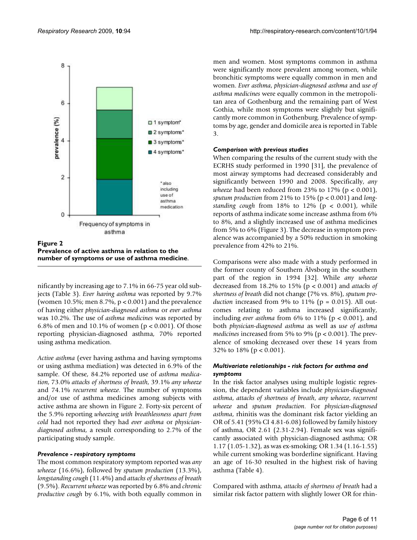

**Prevalence of active asthma in relation to the number of symptoms or use of asthma medicine**.

nificantly by increasing age to 7.1% in 66-75 year old subjects (Table 3). *Ever having asthma* was reported by 9.7% (women 10.5%; men 8.7%, p < 0.001) and the prevalence of having either *physician-diagnosed asthma* or *ever asthma* was 10.2%. The use of *asthma medicines* was reported by 6.8% of men and 10.1% of women (p < 0.001). Of those reporting physician-diagnosed asthma, 70% reported using asthma medication.

*Active asthma* (ever having asthma and having symptoms or using asthma mediation) was detected in 6.9% of the sample. Of these, 84.2% reported use of *asthma medication*, 73.0% *attacks of shortness of breath*, 39.1% *any wheeze* and 74.1% *recurrent wheeze*. The number of symptoms and/or use of asthma medicines among subjects with active asthma are shown in Figure 2. Forty-six percent of the 5.9% reporting *wheezing with breathlessness apart from cold* had not reported they had *ever asthma* or *physiciandiagnosed asthma*, a result corresponding to 2.7% of the participating study sample.

# *Prevalence - respiratory symptoms*

The most common respiratory symptom reported was *any wheeze* (16.6%), followed by *sputum production* (13.3%), *longstanding cough* (11.4%) and *attacks of shortness of breath* (9.5%). *Recurrent wheeze* was reported by 6.8% and *chronic productive cough* by 6.1%, with both equally common in men and women. Most symptoms common in asthma were significantly more prevalent among women, while bronchitic symptoms were equally common in men and women. *Ever asthma*, *physician-diagnosed asthma* and *use of asthma medicines* were equally common in the metropolitan area of Gothenburg and the remaining part of West Gothia, while most symptoms were slightly but significantly more common in Gothenburg. Prevalence of symptoms by age, gender and domicile area is reported in Table 3.

# *Comparison with previous studies*

When comparing the results of the current study with the ECRHS study performed in 1990 [31], the prevalence of most airway symptoms had decreased considerably and significantly between 1990 and 2008. Specifically, *any wheeze* had been reduced from 23% to 17% ( $p < 0.001$ ), *sputum production* from 21% to 15% (p < 0.001) and *longstanding cough* from 18% to 12% (p < 0.001), while reports of asthma indicate some increase asthma from 6% to 8%, and a slightly increased use of asthma medicines from 5% to 6% (Figure 3). The decrease in symptom prevalence was accompanied by a 50% reduction in smoking prevalence from 42% to 21%.

Comparisons were also made with a study performed in the former county of Southern Älvsborg in the southern part of the region in 1994 [32]. While *any wheeze* decreased from 18.2% to 15% (p < 0.001) and *attacks of shortness of breath* did not change (7% vs. 8%), *sputum production* increased from 9% to 11% (p = 0.015). All outcomes relating to asthma increased significantly, including *ever asthma* from  $6\%$  to  $11\%$  ( $p < 0.001$ ), and both *physician-diagnosed asthma* as well as *use of asthma medicines* increased from 5% to 9% ( $p < 0.001$ ). The prevalence of smoking decreased over these 14 years from 32% to  $18\%$  (p < 0.001).

# *Multivariate relationships - risk factors for asthma and symptoms*

In the risk factor analyses using multiple logistic regression, the dependent variables include *physician-diagnosed asthma*, *attacks of shortness of breath*, *any wheeze*, *recurrent wheeze* and *sputum production*. For *physician-diagnosed asthma*, rhinitis was the dominant risk factor yielding an OR of 5.41 (95% CI 4.81-6.08) followed by family history of asthma, OR 2.61 (2.31-2.94). Female sex was significantly associated with physician-diagnosed asthma; OR 1.17 (1.05-1.32), as was ex-smoking; OR 1.34 (1.16-1.55) while current smoking was borderline significant. Having an age of 16-30 resulted in the highest risk of having asthma (Table 4).

Compared with asthma, *attacks of shortness of breath* had a similar risk factor pattern with slightly lower OR for rhin-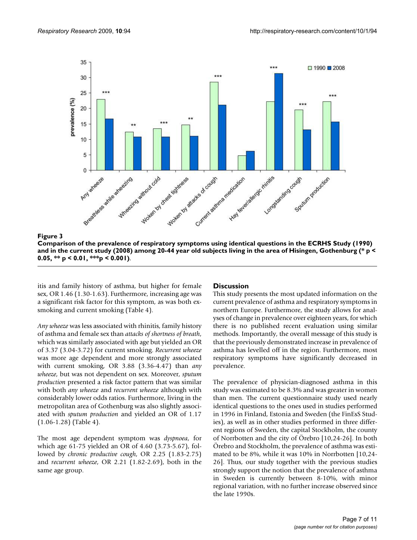

# **Figure 3** Production of the contract of the contract of the contract of the contract of the contract of the contract of the contract of the contract of the contract of the contract of the contract of the contract of the c

**Comparison of the prevalence of respiratory symptoms using identical questions in the ECRHS Study (1990) and in the current study (2008) among 20-44 year old subjects living in the area of Hisingen, Gothenburg (\* p < 0.05, \*\* p < 0.01, \*\*\*p < 0.001)**.

itis and family history of asthma, but higher for female sex, OR 1.46 (1.30-1.63). Furthermore, increasing age was a significant risk factor for this symptom, as was both exsmoking and current smoking (Table 4).

*Any wheeze* was less associated with rhinitis, family history of asthma and female sex than *attacks of shortness of breath*, which was similarly associated with age but yielded an OR of 3.37 (3.04-3.72) for current smoking. *Recurrent wheeze* was more age dependent and more strongly associated with current smoking, OR 3.88 (3.36-4.47) than *any wheeze*, but was not dependent on sex. Moreover, *sputum production* presented a risk factor pattern that was similar with both *any wheeze* and *recurrent wheeze* although with considerably lower odds ratios. Furthermore, living in the metropolitan area of Gothenburg was also slightly associated with *sputum production* and yielded an OR of 1.17 (1.06-1.28) (Table 4).

The most age dependent symptom was *dyspnoea*, for which age 61-75 yielded an OR of 4.60 (3.73-5.67), followed by *chronic productive cough*, OR 2.25 (1.83-2.75) and *recurrent wheeze*, OR 2.21 (1.82-2.69), both in the same age group.

# **Discussion**

This study presents the most updated information on the current prevalence of asthma and respiratory symptoms in northern Europe. Furthermore, the study allows for analyses of change in prevalence over eighteen years, for which there is no published recent evaluation using similar methods. Importantly, the overall message of this study is that the previously demonstrated increase in prevalence of asthma has levelled off in the region. Furthermore, most respiratory symptoms have significantly decreased in prevalence.

The prevalence of physician-diagnosed asthma in this study was estimated to be 8.3% and was greater in women than men. The current questionnaire study used nearly identical questions to the ones used in studies performed in 1996 in Finland, Estonia and Sweden (the FinEsS Studies), as well as in other studies performed in three different regions of Sweden, the capital Stockholm, the county of Norrbotten and the city of Örebro [10,24-26]. In both Örebro and Stockholm, the prevalence of asthma was estimated to be 8%, while it was 10% in Norrbotten [10,24- 26]. Thus, our study together with the previous studies strongly support the notion that the prevalence of asthma in Sweden is currently between 8-10%, with minor regional variation, with no further increase observed since the late 1990s.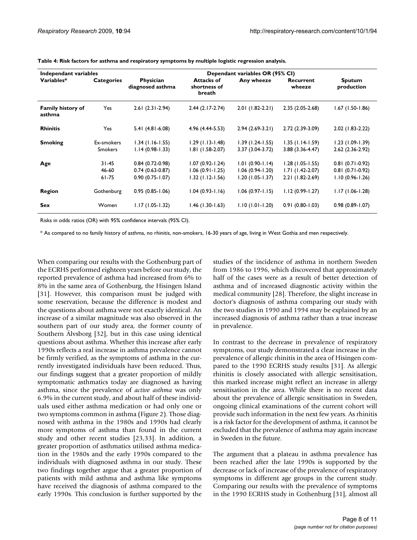| Independant variables              |                   |                               | Dependant variables OR (95% CI)             |                     |                     |                             |
|------------------------------------|-------------------|-------------------------------|---------------------------------------------|---------------------|---------------------|-----------------------------|
| Variables*                         | <b>Categories</b> | Physician<br>diagnosed asthma | <b>Attacks of</b><br>shortness of<br>breath | Any wheeze          | Recurrent<br>wheeze | <b>Sputum</b><br>production |
| <b>Family history of</b><br>asthma | <b>Yes</b>        | $2.61(2.31-2.94)$             | $2.44(2.17-2.74)$                           | $2.01(1.82 - 2.21)$ | $2.35(2.05-2.68)$   | $1.67$ (1.50-1.86)          |
| <b>Rhinitis</b>                    | <b>Yes</b>        | $5.41(4.81-6.08)$             | 4.96 (4.44-5.53)                            | $2.94(2.69-3.21)$   | 2.72 (2.39-3.09)    | 2.02 (1.83-2.22)            |
| <b>Smoking</b>                     | Ex-smokers        | $1.34$ (1.16-1.55)            | $1.29$ (1.13-1.48)                          | $1.39(1.24-1.55)$   | $1.35$ (1.14-1.59)  | $1.23$ (1.09-1.39)          |
|                                    | <b>Smokers</b>    | $1.14(0.98-1.33)$             | $1.81(1.58-2.07)$                           | 3.37 (3.04-3.72)    | $3.88(3.36 - 4.47)$ | $2.62(2.36-2.92)$           |
| Age                                | $31 - 45$         | $0.84(0.72-0.98)$             | $1.07(0.92 - 1.24)$                         | $1.01(0.90-1.14)$   | $1.28$ (1.05-1.55)  | $0.81(0.71-0.92)$           |
|                                    | 46-60             | $0.74(0.63-0.87)$             | $1.06(0.91 - 1.25)$                         | $1.06(0.94-1.20)$   | $1.71(1.42-2.07)$   | $0.81(0.71-0.92)$           |
|                                    | $61 - 75$         | $0.90(0.75 - 1.07)$           | $1.32(1.12-1.56)$                           | $1.20(1.05-1.37)$   | 2.21 (1.82-2.69)    | $1.10(0.96 - 1.26)$         |
| <b>Region</b>                      | Gothenburg        | $0.95(0.85 - 1.06)$           | $1.04(0.93-1.16)$                           | $1.06(0.97-1.15)$   | $1.12(0.99 - 1.27)$ | $1.17(1.06-1.28)$           |
| Sex                                | Women             | $1.17(1.05-1.32)$             | $1.46$ (1.30-1.63)                          | $1.10(1.01-1.20)$   | $0.91(0.80-1.03)$   | $0.98(0.89 - 1.07)$         |

**Table 4: Risk factors for asthma and respiratory symptoms by multiple logistic regression analysis.** 

Risks in odds ratios (OR) with 95% confidence intervals (95% CI).

\* As compared to no family history of asthma, no rhinitis, non-smokers, 16-30 years of age, living in West Gothia and men respectively.

When comparing our results with the Gothenburg part of the ECRHS performed eighteen years before our study, the reported prevalence of asthma had increased from 6% to 8% in the same area of Gothenburg, the Hisingen Island [31]. However, this comparison must be judged with some reservation, because the difference is modest and the questions about asthma were not exactly identical. An increase of a similar magnitude was also observed in the southern part of our study area, the former county of Southern Älvsborg [32], but in this case using identical questions about asthma. Whether this increase after early 1990s reflects a real increase in asthma prevalence cannot be firmly verified, as the symptoms of asthma in the currently investigated individuals have been reduced. Thus, our findings suggest that a greater proportion of mildly symptomatic asthmatics today are diagnosed as having asthma, since the prevalence of *active asthma* was only 6.9% in the current study, and about half of these individuals used either asthma medication or had only one or two symptoms common in asthma (Figure 2). Those diagnosed with asthma in the 1980s and 1990s had clearly more symptoms of asthma than found in the current study and other recent studies [23,33]. In addition, a greater proportion of asthmatics utilised asthma medication in the 1980s and the early 1990s compared to the individuals with diagnosed asthma in our study. These two findings together argue that a greater proportion of patients with mild asthma and asthma like symptoms have received the diagnosis of asthma compared to the early 1990s. This conclusion is further supported by the studies of the incidence of asthma in northern Sweden from 1986 to 1996, which discovered that approximately half of the cases were as a result of better detection of asthma and of increased diagnostic activity within the medical community [28]. Therefore, the slight increase in doctor's diagnosis of asthma comparing our study with the two studies in 1990 and 1994 may be explained by an increased diagnosis of asthma rather than a true increase in prevalence.

In contrast to the decrease in prevalence of respiratory symptoms, our study demonstrated a clear increase in the prevalence of allergic rhinitis in the area of Hisingen compared to the 1990 ECRHS study results [31]. As allergic rhinitis is closely associated with allergic sensitisation, this marked increase might reflect an increase in allergy sensitisation in the area. While there is no recent data about the prevalence of allergic sensitisation in Sweden, ongoing clinical examinations of the current cohort will provide such information in the next few years. As rhinitis is a risk factor for the development of asthma, it cannot be excluded that the prevalence of asthma may again increase in Sweden in the future.

The argument that a plateau in asthma prevalence has been reached after the late 1990s is supported by the decrease or lack of increase of the prevalence of respiratory symptoms in different age groups in the current study. Comparing our results with the prevalence of symptoms in the 1990 ECRHS study in Gothenburg [31], almost all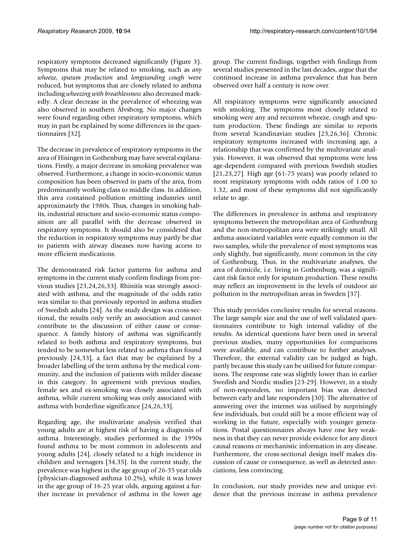respiratory symptoms decreased significantly (Figure 3). Symptoms that may be related to smoking, such as *any wheeze*, *sputum production* and *longstanding cough* were reduced, but symptoms that are closely related to asthma including *wheezing with breathlessness* also decreased markedly. A clear decrease in the prevalence of wheezing was also observed in southern Älvsborg. No major changes were found regarding other respiratory symptoms, which may in part be explained by some differences in the questionnaires [32].

The decrease in prevalence of respiratory symptoms in the area of Hisingen in Gothenburg may have several explanations. Firstly, a major decrease in smoking prevalence was observed. Furthermore, a change in socio-economic status composition has been observed in parts of the area, from predominantly working class to middle class. In addition, this area contained pollution emitting industries until approximately the 1980s. Thus, changes in smoking habits, industrial structure and socio-economic status composition are all parallel with the decrease observed in respiratory symptoms. It should also be considered that the reduction in respiratory symptoms may partly be due to patients with airway diseases now having access to more efficient medications.

The demonstrated risk factor patterns for asthma and symptoms in the current study confirm findings from previous studies [23,24,26,33]. Rhinitis was strongly associated with asthma, and the magnitude of the odds ratio was similar to that previously reported in asthma studies of Swedish adults [24]. As the study design was cross-sectional, the results only verify an association and cannot contribute to the discussion of either cause or consequence. A family history of asthma was significantly related to both asthma and respiratory symptoms, but tended to be somewhat less related to asthma than found previously [24,33], a fact that may be explained by a broader labelling of the term asthma by the medical community, and the inclusion of patients with milder disease in this category. In agreement with previous studies, female sex and ex-smoking was closely associated with asthma, while current smoking was only associated with asthma with borderline significance [24,26,33].

Regarding age, the multivariate analysis verified that young adults are at highest risk of having a diagnosis of asthma. Interestingly, studies performed in the 1990s found asthma to be most common in adolescents and young adults [24], closely related to a high incidence in children and teenagers [34,35]. In the current study, the prevalence was highest in the age group of 26-35 year olds (physician-diagnosed asthma 10.2%), while it was lower in the age group of 16-25 year olds, arguing against a further increase in prevalence of asthma in the lower age group. The current findings, together with findings from several studies presented in the last decades, argue that the continued increase in asthma prevalence that has been observed over half a century is now over.

All respiratory symptoms were significantly associated with smoking. The symptoms most closely related to smoking were any and recurrent wheeze, cough and sputum production. These findings are similar to reports from several Scandinavian studies [23,26,36]. Chronic respiratory symptoms increased with increasing age, a relationship that was confirmed by the multivariate analysis. However, it was observed that symptoms were less age-dependent compared with previous Swedish studies [21,23,27]. High age (61-75 years) was poorly related to most respiratory symptoms with odds ratios of 1.00 to 1.32, and most of these symptoms did not significantly relate to age.

The differences in prevalence in asthma and respiratory symptoms between the metropolitan area of Gothenburg and the non-metropolitan area were strikingly small. All asthma-associated variables were equally common in the two samples, while the prevalence of most symptoms was only slightly, but significantly, more common in the city of Gothenburg. Thus, in the multivariate analyses, the area of domicile, i.e. living in Gothenburg, was a significant risk factor only for sputum production. These results may reflect an improvement in the levels of outdoor air pollution in the metropolitan areas in Sweden [37].

This study provides conclusive results for several reasons. The large sample size and the use of well validated questionnaires contribute to high internal validity of the results. As identical questions have been used in several previous studies, many opportunities for comparisons were available, and can contribute to further analyses. Therefore, the external validity can be judged as high, partly because this study can be utilised for future comparisons. The response rate was slightly lower than in earlier Swedish and Nordic studies [23-29]. However, in a study of non-responders, no important bias was detected between early and late responders [30]. The alternative of answering over the internet was utilised by surprisingly few individuals, but could still be a more efficient way of working in the future, especially with younger generations. Postal questionnaires always have one key weakness in that they can never provide evidence for any direct causal reasons or mechanistic information in any disease. Furthermore, the cross-sectional design itself makes discussion of cause or consequence, as well as detected associations, less convincing.

In conclusion, our study provides new and unique evidence that the previous increase in asthma prevalence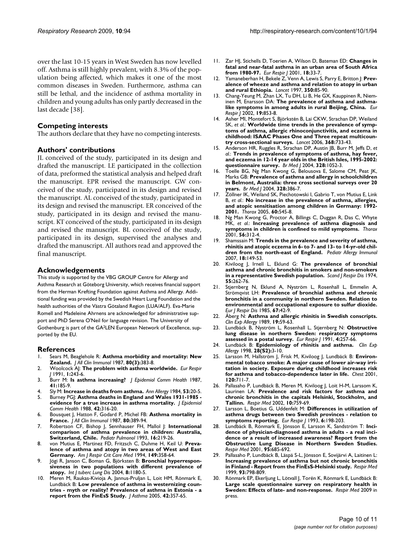over the last 10-15 years in West Sweden has now levelled off. Asthma is still highly prevalent, with 8.3% of the population being affected, which makes it one of the most common diseases in Sweden. Furthermore, asthma can still be lethal, and the incidence of asthma mortality in children and young adults has only partly decreased in the last decade [38].

# **Competing interests**

The authors declare that they have no competing interests.

# **Authors' contributions**

JL conceived of the study, participated in its design and drafted the manuscript. LE participated in the collection of data, preformed the statistical analysis and helped draft the manuscript. EPR revised the manuscript. GW conceived of the study, participated in its design and revised the manuscript. AL conceived of the study, participated in its design and revised the manuscript. ER conceived of the study, participated in its design and revised the manuscript. KT conceived of the study, participated in its design and revised the manuscript. BL conceived of the study, participated in its design, supervised the analyses and drafted the manuscript. All authors read and approved the final manuscript.

# **Acknowledgements**

This study is supported by the VBG GROUP Centre for Allergy and Asthma Research at Göteborg University, which receives financial support from the Herman Krefting Foundation against Asthma and Allergy. Additional funding was provided by the Swedish Heart Lung Foundation and the health authorities of the Västra Götaland Region (LUA/ALF). Eva-Marie Romell and Madeleine Ahrnens are acknowledged for administrative support and PhD Serena O'Neil for language revision. The University of Gothenburg is part of the GA2LEN European Network of Excellence, supported by the EU.

### **References**

- 1. Sears M, Beaglehole R: **Asthma morbidity and mortality: New Zealand.** *J All Clin Immunol* 1987, **80(3):**383-8.
- 2. Woolcock AJ: **The problem with asthma worldwide.** *Eur Respir J* 1991, **1:**243-6.
- 3. Burr M: **Is asthma increasing?** *J Epidemiol Comm Health* 1987, **41:**185-9.
- 4. Sly M: **[Increase in deaths from asthma.](http://www.ncbi.nlm.nih.gov/entrez/query.fcgi?cmd=Retrieve&db=PubMed&dopt=Abstract&list_uids=6742521)** *Ann Allergy* 1984, **53:**20-5. 5. Burney PGJ: **Asthma deaths in England and Wales 1931-1985 evidence for a true increase in asthma mortality.** *J Epidemiol*
- *Comm Health* 1988, **42:**316-20. 6. Bousquet J, Hatton F, Godard P, Michel FB: **Asthma mortality in France.** *J All Clin Immunol* 1987, **80:**389-94.
- 7. Robertson CF, Bishop J, Sennhauser FH, Mallol J: **[International](http://www.ncbi.nlm.nih.gov/entrez/query.fcgi?cmd=Retrieve&db=PubMed&dopt=Abstract&list_uids=8265269) [comparison of asthma prevalence in children: Australia,](http://www.ncbi.nlm.nih.gov/entrez/query.fcgi?cmd=Retrieve&db=PubMed&dopt=Abstract&list_uids=8265269) [Switzerland, Chile.](http://www.ncbi.nlm.nih.gov/entrez/query.fcgi?cmd=Retrieve&db=PubMed&dopt=Abstract&list_uids=8265269)** *Pediatr Pulmonol* 1993, **16:**219-26.
- 8. von Mutius E, Martinez FD, Fritzsch C, Duhme H, Keil U: **[Preva](http://www.ncbi.nlm.nih.gov/entrez/query.fcgi?cmd=Retrieve&db=PubMed&dopt=Abstract&list_uids=8306030)[lence of asthma and atopy in two areas of West and East](http://www.ncbi.nlm.nih.gov/entrez/query.fcgi?cmd=Retrieve&db=PubMed&dopt=Abstract&list_uids=8306030) [Germany.](http://www.ncbi.nlm.nih.gov/entrez/query.fcgi?cmd=Retrieve&db=PubMed&dopt=Abstract&list_uids=8306030)** *Am J Respir Crit Care Med* 1994, **149:**358-64.
- 9. Jögi R, Janson C, Boman G, Björksten B: **[Bronchial hyperrespon](http://www.ncbi.nlm.nih.gov/entrez/query.fcgi?cmd=Retrieve&db=PubMed&dopt=Abstract&list_uids=15527149)[siveness in two populations with different prevalence of](http://www.ncbi.nlm.nih.gov/entrez/query.fcgi?cmd=Retrieve&db=PubMed&dopt=Abstract&list_uids=15527149) [atopy.](http://www.ncbi.nlm.nih.gov/entrez/query.fcgi?cmd=Retrieve&db=PubMed&dopt=Abstract&list_uids=15527149)** *Int J tuberc Lung Dis* 2004, **8:**1180-5.
- 10. Meren M, Raukas-Kivioja A, Jannus-Pruljan L, Loit HM, Rönmark E, Lundbäck B: **[Low prevalence of asthma in westernizing coun](http://www.ncbi.nlm.nih.gov/entrez/query.fcgi?cmd=Retrieve&db=PubMed&dopt=Abstract&list_uids=16036410)[tries - myth or reality? Prevalence of asthma in Estonia - a](http://www.ncbi.nlm.nih.gov/entrez/query.fcgi?cmd=Retrieve&db=PubMed&dopt=Abstract&list_uids=16036410) [report from the FinEsS Study.](http://www.ncbi.nlm.nih.gov/entrez/query.fcgi?cmd=Retrieve&db=PubMed&dopt=Abstract&list_uids=16036410)** *J Asthma* 2005, **42:**357-65.
- 11. Zar HJ, Stichells D, Toerien A, Wilson D, Bateman ED: **[Changes in](http://www.ncbi.nlm.nih.gov/entrez/query.fcgi?cmd=Retrieve&db=PubMed&dopt=Abstract&list_uids=11510802) [fatal and near-fatal asthma in an urban area of South Africa](http://www.ncbi.nlm.nih.gov/entrez/query.fcgi?cmd=Retrieve&db=PubMed&dopt=Abstract&list_uids=11510802) [from 1980-97.](http://www.ncbi.nlm.nih.gov/entrez/query.fcgi?cmd=Retrieve&db=PubMed&dopt=Abstract&list_uids=11510802)** *Eur Respir J* 2001, **18:**33-7.
- 12. Yamaneberhan H, Bekele Z, Venn A, Lewis S, Parry E, Britton J: **[Prev](http://www.ncbi.nlm.nih.gov/entrez/query.fcgi?cmd=Retrieve&db=PubMed&dopt=Abstract&list_uids=9228959)[alence of wheeze and asthma and relation to atopy in urban](http://www.ncbi.nlm.nih.gov/entrez/query.fcgi?cmd=Retrieve&db=PubMed&dopt=Abstract&list_uids=9228959) [and rural Ethiopia.](http://www.ncbi.nlm.nih.gov/entrez/query.fcgi?cmd=Retrieve&db=PubMed&dopt=Abstract&list_uids=9228959)** *Lancet* 1997, **350:**85-90.
- 13. Chang-Yeung M, Zhan LX, Tu DH, Li B, He GX, Kauppinen R, Nieminen M, Enarsson DA: **[The prevalence of asthma and asthma](http://www.ncbi.nlm.nih.gov/entrez/query.fcgi?cmd=Retrieve&db=PubMed&dopt=Abstract&list_uids=12030724)[like symptoms in among adults in rural Beijing, China.](http://www.ncbi.nlm.nih.gov/entrez/query.fcgi?cmd=Retrieve&db=PubMed&dopt=Abstract&list_uids=12030724)** *Eur Respir J* 2002, **19:**853-8.
- 14. Asher MI, Montefort S, Björkstén B, Lai CKW, Strachan DP, Weiland SK, *et al.*: **[Worldwide time trends in the prevalence of symp](http://www.ncbi.nlm.nih.gov/entrez/query.fcgi?cmd=Retrieve&db=PubMed&dopt=Abstract&list_uids=16935684)[toms of asthma, allergic rhinoconjunctivitis, and eczema in](http://www.ncbi.nlm.nih.gov/entrez/query.fcgi?cmd=Retrieve&db=PubMed&dopt=Abstract&list_uids=16935684) childhood: ISAAC Phases One and Three repeat multicoun[try cross-sectional surveys.](http://www.ncbi.nlm.nih.gov/entrez/query.fcgi?cmd=Retrieve&db=PubMed&dopt=Abstract&list_uids=16935684)** *Lancet* 2006, **368:**733-43.
- 15. Anderson HR, Ruggles R, Strachan DP, Austin JB, Burr M, Jeffs D, *et al.*: **Trends in prevalence of symptoms of asthma, hay fever, and eczema in 12-14 year olds in the British Isles, 1995-2002: questionnaire survey.** *Br Med J* 2004, **328:**1052-3.
- 16. Toelle BG, Ng Man Kwong G, Belousova E, Salome CM, Peat JK, Marks GB: **Prevalence of asthma and allergy in schoolchildren in Belmont, Australia: three cross sectional surveys over 20 years.** *Br Med J* 2004, **328:**386-7.
- 17. Zöllner IK, Weiland SK, Piechotowski I, Gabrio T, von Mutius E, Link B, *et al.*: **[No increase in the prevalence of asthma, allergies,](http://www.ncbi.nlm.nih.gov/entrez/query.fcgi?cmd=Retrieve&db=PubMed&dopt=Abstract&list_uids=15994260) [and atopic sensitisation among children in Germany: 1992-](http://www.ncbi.nlm.nih.gov/entrez/query.fcgi?cmd=Retrieve&db=PubMed&dopt=Abstract&list_uids=15994260) [2001.](http://www.ncbi.nlm.nih.gov/entrez/query.fcgi?cmd=Retrieve&db=PubMed&dopt=Abstract&list_uids=15994260)** *Thorax* 2005, **60:**545-8.
- 18. Ng Man Kwong G, Proctor A, Billings C, Duggan R, Das C, Whyte MK, *et al.*: **[Increasing prevalence of asthma diagnosis and](http://www.ncbi.nlm.nih.gov/entrez/query.fcgi?cmd=Retrieve&db=PubMed&dopt=Abstract&list_uids=11254824) [symptoms in children is confined to mild symptoms.](http://www.ncbi.nlm.nih.gov/entrez/query.fcgi?cmd=Retrieve&db=PubMed&dopt=Abstract&list_uids=11254824)** *Thorax* 2001, **56:**312-4.
- 19. Shamssain M: **[Trends in the prevalence and severity of asthma,](http://www.ncbi.nlm.nih.gov/entrez/query.fcgi?cmd=Retrieve&db=PubMed&dopt=Abstract&list_uids=17338788) [rhinitis and atopic eczema in 6- to 7- and 13- to 14-yr-old chil](http://www.ncbi.nlm.nih.gov/entrez/query.fcgi?cmd=Retrieve&db=PubMed&dopt=Abstract&list_uids=17338788)[dren from the north-east of England.](http://www.ncbi.nlm.nih.gov/entrez/query.fcgi?cmd=Retrieve&db=PubMed&dopt=Abstract&list_uids=17338788)** *Pediatr Allergy Immunol* 2007, **18:**149-53.
- 20. Kiviloog J, Irnell L, Eklund G: **[The prevalence of bronchial](http://www.ncbi.nlm.nih.gov/entrez/query.fcgi?cmd=Retrieve&db=PubMed&dopt=Abstract&list_uids=4458061) [asthma and chronic bronchitis in smokers and non-smokers](http://www.ncbi.nlm.nih.gov/entrez/query.fcgi?cmd=Retrieve&db=PubMed&dopt=Abstract&list_uids=4458061) [in a representative Swedish population.](http://www.ncbi.nlm.nih.gov/entrez/query.fcgi?cmd=Retrieve&db=PubMed&dopt=Abstract&list_uids=4458061)** *Scand J Respir Dis* 1974, **55:**262-76.
- 21. Stjernberg N, Eklund A, Nyström L, Rosenhall L, Emmelin A, Strömqvist LH: **Prevalence of bronchial asthma and chronic bronchitis in a community in northern Sweden. Relation to environmental and occupational exposure to sulfur dioxide.** *Eur J Respir Dis* 1985, **67:**42-9.
- 22. Åberg N: **[Asthma and allergic rhinitis in Swedish conscripts.](http://www.ncbi.nlm.nih.gov/entrez/query.fcgi?cmd=Retrieve&db=PubMed&dopt=Abstract&list_uids=2784709)** *Clin Exp Allergy* 1989, **19:**59-63.
- 23. Lundbäck B, Nyström L, Rosenhall L, Stjernberg N: **[Obstructive](http://www.ncbi.nlm.nih.gov/entrez/query.fcgi?cmd=Retrieve&db=PubMed&dopt=Abstract&list_uids=1864340) [lung disease in northern Sweden: respiratory symptoms](http://www.ncbi.nlm.nih.gov/entrez/query.fcgi?cmd=Retrieve&db=PubMed&dopt=Abstract&list_uids=1864340) [assessed in a postal survey.](http://www.ncbi.nlm.nih.gov/entrez/query.fcgi?cmd=Retrieve&db=PubMed&dopt=Abstract&list_uids=1864340)** *Eur Respir J* 1991, **4:**257-66.
- 24. Lundbäck B: **Epidemiology of rhinitis and asthma.** *Clin Exp Allergy* 1998, **28(S2):**3-10.
- 25. Larsson M, Hallström J, Frisk M, Kiviloog J, Lundbäck B: **[Environ](http://www.ncbi.nlm.nih.gov/entrez/query.fcgi?cmd=Retrieve&db=PubMed&dopt=Abstract&list_uids=11555497)[mental tobacco smoke: A major cause of lower air-way irri](http://www.ncbi.nlm.nih.gov/entrez/query.fcgi?cmd=Retrieve&db=PubMed&dopt=Abstract&list_uids=11555497)tation in society. Exposure during childhood increases risk [for asthma and tobacco-dependence later in life.](http://www.ncbi.nlm.nih.gov/entrez/query.fcgi?cmd=Retrieve&db=PubMed&dopt=Abstract&list_uids=11555497)** *Chest* 2001, **120:**711-7.
- 26. Pallasaho P, Lundbäck B, Meren M, Kiviloog J, Loit H-M, Larssom K, Laurinen LA: **Prevalence and risk factors for asthma and chronic bronchitis in the capitals Helsinki, Stockholm, and Tallinn.** *Respir Med* 2002, **10:**759-69.
- 27. Larsson L, Boetius G, Uddenfelt M: **[Differences in utilization of](http://www.ncbi.nlm.nih.gov/entrez/query.fcgi?cmd=Retrieve&db=PubMed&dopt=Abstract&list_uids=8444291) [asthma drugs between two Swedish provinces - relation to](http://www.ncbi.nlm.nih.gov/entrez/query.fcgi?cmd=Retrieve&db=PubMed&dopt=Abstract&list_uids=8444291) [symptoms reporting.](http://www.ncbi.nlm.nih.gov/entrez/query.fcgi?cmd=Retrieve&db=PubMed&dopt=Abstract&list_uids=8444291)** *Eur Respir J* 1993, **6:**198-203.
- 28. Lundbäck B, Rönmark E, Jönsson E, Larsson K, Sandström T: **[Inci](http://www.ncbi.nlm.nih.gov/entrez/query.fcgi?cmd=Retrieve&db=PubMed&dopt=Abstract&list_uids=11530958)[dence of physician-diagnosed asthma in adults - a real inci](http://www.ncbi.nlm.nih.gov/entrez/query.fcgi?cmd=Retrieve&db=PubMed&dopt=Abstract&list_uids=11530958)dence or a result of increased awareness? Report from the Obstructive Lung Disease in Northern Sweden Studies.** *Respir Med* 2001, **95:**685-692.
- 29. Pallasaho P, Lundbäck B, Läspä S-L, Jönsson E, Sovijärvi A, Laitinen L: **[Increasing prevalence of asthma but not chronic bronchitis](http://www.ncbi.nlm.nih.gov/entrez/query.fcgi?cmd=Retrieve&db=PubMed&dopt=Abstract&list_uids=10603629) [in Finland - Report from the FinEsS-Helsinki study.](http://www.ncbi.nlm.nih.gov/entrez/query.fcgi?cmd=Retrieve&db=PubMed&dopt=Abstract&list_uids=10603629)** *Respir Med* 1999, **93:**798-809.
- 30. Rönmark EP, Ekerljung L, Lötvall J, Torén K, Rönmark E, Lundbäck B: **Large scale questionnaire survey on respiratory health in Sweden: Effects of late- and non-response.** *Respir Med* 2009 in press.